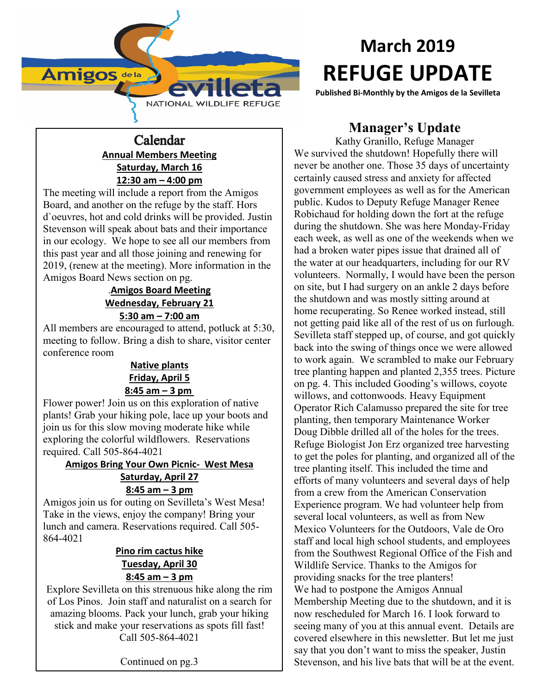

## Calendar **Annual Members Meeting Saturday, March 16 12:30 am – 4:00 pm**

The meeting will include a report from the Amigos Board, and another on the refuge by the staff. Hors d`oeuvres, hot and cold drinks will be provided. Justin Stevenson will speak about bats and their importance in our ecology. We hope to see all our members from this past year and all those joining and renewing for 2019, (renew at the meeting). More information in the Amigos Board News section on pg.

#### .**Amigos Board Meeting Wednesday, February 21 5:30 am – 7:00 am**

All members are encouraged to attend, potluck at 5:30, meeting to follow. Bring a dish to share, visitor center conference room

#### **Native plants Friday, April 5 8:45 am – 3 pm**

Flower power! Join us on this exploration of native plants! Grab your hiking pole, lace up your boots and join us for this slow moving moderate hike while exploring the colorful wildflowers. Reservations required. Call 505-864-4021

#### **Amigos Bring Your Own Picnic- West Mesa Saturday, April 27 8:45 am – 3 pm**

Amigos join us for outing on Sevilleta's West Mesa! Take in the views, enjoy the company! Bring your lunch and camera. Reservations required. Call 505- 864-4021

#### **Pino rim cactus hike Tuesday, April 30 8:45 am – 3 pm**

Explore Sevilleta on this strenuous hike along the rim of Los Pinos. Join staff and naturalist on a search for amazing blooms. Pack your lunch, grab your hiking stick and make your reservations as spots fill fast! Call 505-864-4021

Continued on pg.3

# **March 2019 REFUGE UPDATE**

**Published Bi-Monthly by the Amigos de la Sevilleta**

# **Manager's Update**

Kathy Granillo, Refuge Manager We survived the shutdown! Hopefully there will never be another one. Those 35 days of uncertainty certainly caused stress and anxiety for affected government employees as well as for the American public. Kudos to Deputy Refuge Manager Renee Robichaud for holding down the fort at the refuge during the shutdown. She was here Monday-Friday each week, as well as one of the weekends when we had a broken water pipes issue that drained all of the water at our headquarters, including for our RV volunteers. Normally, I would have been the person on site, but I had surgery on an ankle 2 days before the shutdown and was mostly sitting around at home recuperating. So Renee worked instead, still not getting paid like all of the rest of us on furlough. Sevilleta staff stepped up, of course, and got quickly back into the swing of things once we were allowed to work again. We scrambled to make our February tree planting happen and planted 2,355 trees. Picture on pg. 4. This included Gooding's willows, coyote willows, and cottonwoods. Heavy Equipment Operator Rich Calamusso prepared the site for tree planting, then temporary Maintenance Worker Doug Dibble drilled all of the holes for the trees. Refuge Biologist Jon Erz organized tree harvesting to get the poles for planting, and organized all of the tree planting itself. This included the time and efforts of many volunteers and several days of help from a crew from the American Conservation Experience program. We had volunteer help from several local volunteers, as well as from New Mexico Volunteers for the Outdoors, Vale de Oro staff and local high school students, and employees from the Southwest Regional Office of the Fish and Wildlife Service. Thanks to the Amigos for providing snacks for the tree planters! We had to postpone the Amigos Annual Membership Meeting due to the shutdown, and it is now rescheduled for March 16. I look forward to seeing many of you at this annual event. Details are covered elsewhere in this newsletter. But let me just say that you don't want to miss the speaker, Justin Stevenson, and his live bats that will be at the event.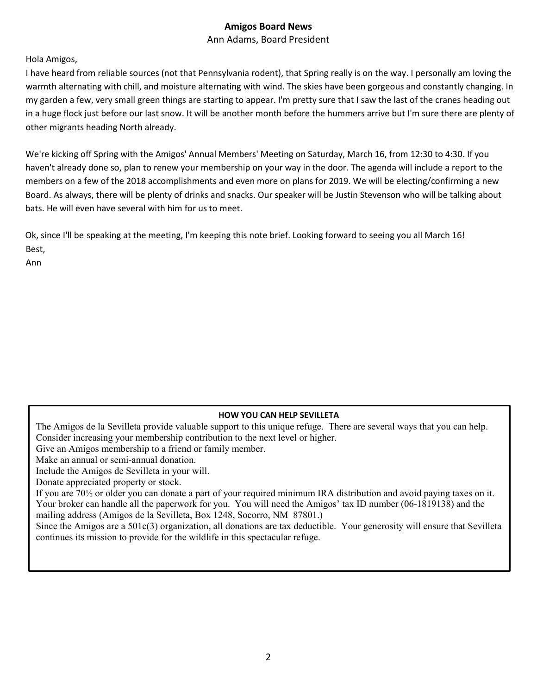#### **Amigos Board News**

Ann Adams, Board President

Hola Amigos,

I have heard from reliable sources (not that Pennsylvania rodent), that Spring really is on the way. I personally am loving the warmth alternating with chill, and moisture alternating with wind. The skies have been gorgeous and constantly changing. In my garden a few, very small green things are starting to appear. I'm pretty sure that I saw the last of the cranes heading out in a huge flock just before our last snow. It will be another month before the hummers arrive but I'm sure there are plenty of other migrants heading North already.

We're kicking off Spring with the Amigos' Annual Members' Meeting on Saturday, March 16, from 12:30 to 4:30. If you haven't already done so, plan to renew your membership on your way in the door. The agenda will include a report to the members on a few of the 2018 accomplishments and even more on plans for 2019. We will be electing/confirming a new Board. As always, there will be plenty of drinks and snacks. Our speaker will be Justin Stevenson who will be talking about bats. He will even have several with him for us to meet.

Ok, since I'll be speaking at the meeting, I'm keeping this note brief. Looking forward to seeing you all March 16! Best,

Ann

#### **HOW YOU CAN HELP SEVILLETA**

The Amigos de la Sevilleta provide valuable support to this unique refuge. There are several ways that you can help. Consider increasing your membership contribution to the next level or higher.

Give an Amigos membership to a friend or family member.

Make an annual or semi-annual donation.

Include the Amigos de Sevilleta in your will.

Donate appreciated property or stock.

If you are 70½ or older you can donate a part of your required minimum IRA distribution and avoid paying taxes on it. Your broker can handle all the paperwork for you. You will need the Amigos' tax ID number (06-1819138) and the mailing address (Amigos de la Sevilleta, Box 1248, Socorro, NM 87801.)

Since the Amigos are a 501c(3) organization, all donations are tax deductible. Your generosity will ensure that Sevilleta continues its mission to provide for the wildlife in this spectacular refuge.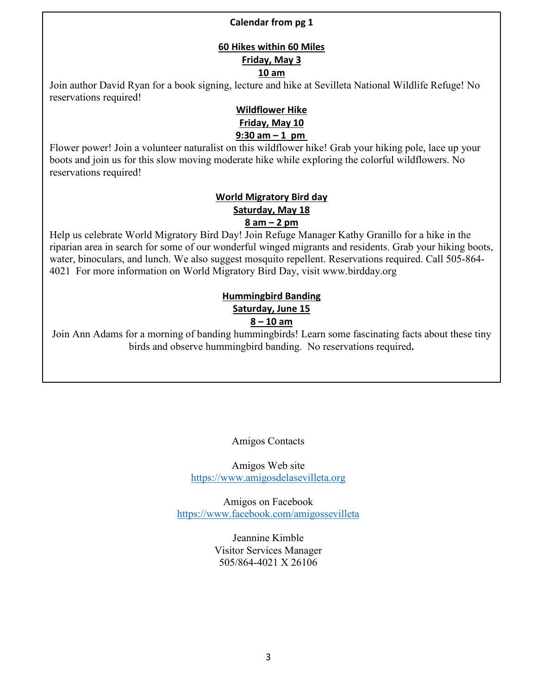#### **Calendar from pg 1**

#### **60 Hikes within 60 Miles Friday, May 3 10 am**

Join author David Ryan for a book signing, lecture and hike at Sevilleta National Wildlife Refuge! No reservations required!

#### **Wildflower Hike Friday, May 10 9:30 am – 1 pm**

Flower power! Join a volunteer naturalist on this wildflower hike! Grab your hiking pole, lace up your boots and join us for this slow moving moderate hike while exploring the colorful wildflowers. No reservations required!

#### **World Migratory Bird day Saturday, May 18 8 am – 2 pm**

Help us celebrate World Migratory Bird Day! Join Refuge Manager Kathy Granillo for a hike in the riparian area in search for some of our wonderful winged migrants and residents. Grab your hiking boots, water, binoculars, and lunch. We also suggest mosquito repellent. Reservations required. Call 505-864- 4021 For more information on World Migratory Bird Day, visit [www.birdday.org](http://www.birdday.org/)

# **Hummingbird Banding Saturday, June 15**

#### **8 – 10 am**

Join Ann Adams for a morning of banding hummingbirds! Learn some fascinating facts about these tiny birds and observe hummingbird banding. No reservations required**.**

Amigos Contacts

Amigos Web site [https://www.amigosdelasevilleta.org](https://www.amigosdelasevilleta.org/)

Amigos on Facebook <https://www.facebook.com/amigossevilleta>

> Jeannine Kimble Visitor Services Manager 505/864-4021 X 26106